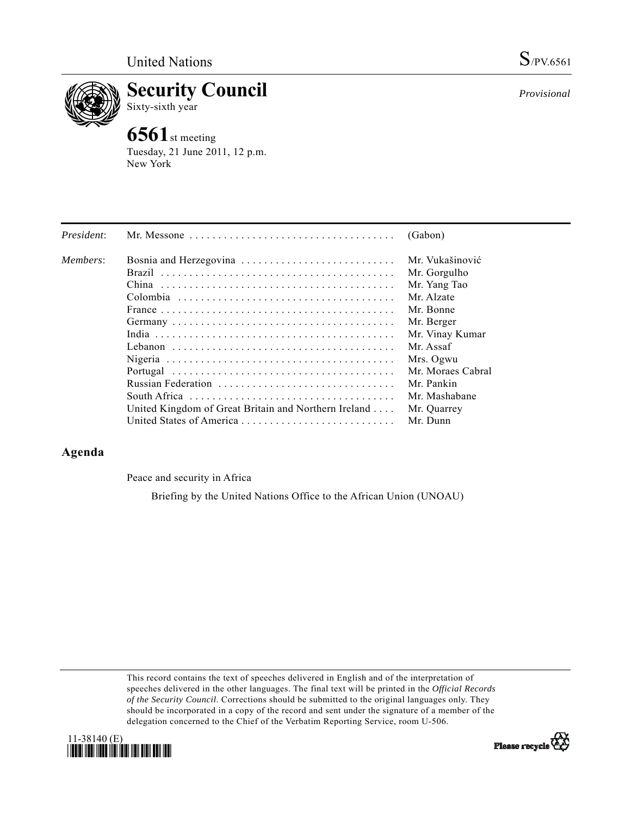

**Security Council**  Sixty-sixth year

# **6561**st meeting

Tuesday, 21 June 2011, 12 p.m. New York

| President: | Mr. Messone $\ldots \ldots \ldots \ldots \ldots \ldots \ldots \ldots \ldots \ldots \ldots$ | (Gabon)           |
|------------|--------------------------------------------------------------------------------------------|-------------------|
| Members:   | Bosnia and Herzegovina                                                                     | Mr. Vukašinović   |
|            |                                                                                            | Mr. Gorgulho      |
|            |                                                                                            | Mr. Yang Tao      |
|            |                                                                                            | Mr. Alzate        |
|            |                                                                                            | Mr. Bonne         |
|            |                                                                                            | Mr. Berger        |
|            |                                                                                            | Mr. Vinay Kumar   |
|            |                                                                                            | Mr. Assaf         |
|            |                                                                                            | Mrs. Ogwu         |
|            |                                                                                            | Mr. Moraes Cabral |
|            | Russian Federation                                                                         | Mr. Pankin        |
|            |                                                                                            | Mr. Mashabane     |
|            | United Kingdom of Great Britain and Northern Ireland                                       | Mr. Quarrey       |
|            | United States of America                                                                   | Mr. Dunn          |

## **Agenda**

Peace and security in Africa

Briefing by the United Nations Office to the African Union (UNOAU)

This record contains the text of speeches delivered in English and of the interpretation of speeches delivered in the other languages. The final text will be printed in the *Official Records of the Security Council*. Corrections should be submitted to the original languages only. They should be incorporated in a copy of the record and sent under the signature of a member of the delegation concerned to the Chief of the Verbatim Reporting Service, room U-506.





*Provisional*

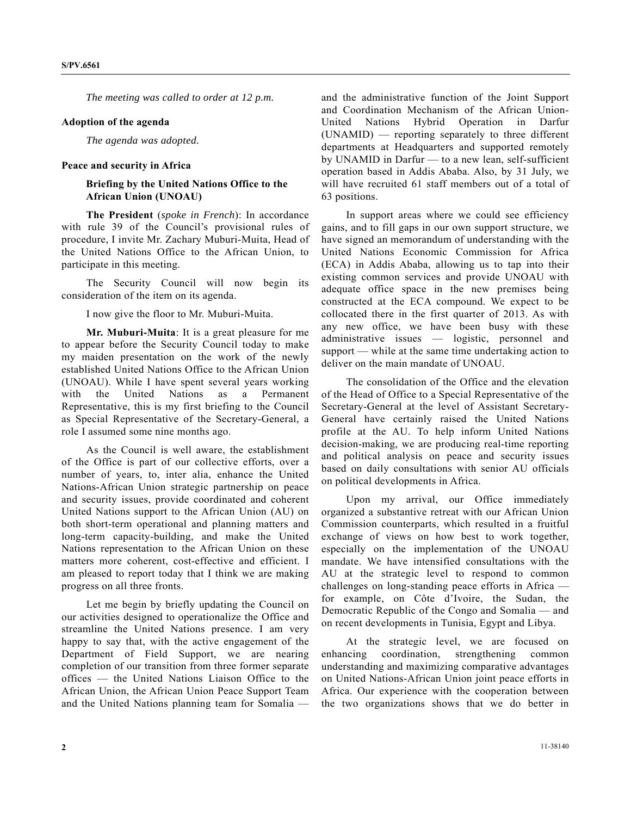*The meeting was called to order at 12 p.m.* 

#### **Adoption of the agenda**

*The agenda was adopted.* 

#### **Peace and security in Africa**

### **Briefing by the United Nations Office to the African Union (UNOAU)**

**The President** (*spoke in French*): In accordance with rule 39 of the Council's provisional rules of procedure, I invite Mr. Zachary Muburi-Muita, Head of the United Nations Office to the African Union, to participate in this meeting.

 The Security Council will now begin its consideration of the item on its agenda.

I now give the floor to Mr. Muburi-Muita.

**Mr. Muburi-Muita**: It is a great pleasure for me to appear before the Security Council today to make my maiden presentation on the work of the newly established United Nations Office to the African Union (UNOAU). While I have spent several years working with the United Nations as a Permanent Representative, this is my first briefing to the Council as Special Representative of the Secretary-General, a role I assumed some nine months ago.

 As the Council is well aware, the establishment of the Office is part of our collective efforts, over a number of years, to, inter alia, enhance the United Nations-African Union strategic partnership on peace and security issues, provide coordinated and coherent United Nations support to the African Union (AU) on both short-term operational and planning matters and long-term capacity-building, and make the United Nations representation to the African Union on these matters more coherent, cost-effective and efficient. I am pleased to report today that I think we are making progress on all three fronts.

 Let me begin by briefly updating the Council on our activities designed to operationalize the Office and streamline the United Nations presence. I am very happy to say that, with the active engagement of the Department of Field Support, we are nearing completion of our transition from three former separate offices — the United Nations Liaison Office to the African Union, the African Union Peace Support Team and the United Nations planning team for Somalia —

and the administrative function of the Joint Support and Coordination Mechanism of the African Union-United Nations Hybrid Operation in Darfur (UNAMID) — reporting separately to three different departments at Headquarters and supported remotely by UNAMID in Darfur — to a new lean, self-sufficient operation based in Addis Ababa. Also, by 31 July, we will have recruited 61 staff members out of a total of 63 positions.

 In support areas where we could see efficiency gains, and to fill gaps in our own support structure, we have signed an memorandum of understanding with the United Nations Economic Commission for Africa (ECA) in Addis Ababa, allowing us to tap into their existing common services and provide UNOAU with adequate office space in the new premises being constructed at the ECA compound. We expect to be collocated there in the first quarter of 2013. As with any new office, we have been busy with these administrative issues — logistic, personnel and support — while at the same time undertaking action to deliver on the main mandate of UNOAU.

 The consolidation of the Office and the elevation of the Head of Office to a Special Representative of the Secretary-General at the level of Assistant Secretary-General have certainly raised the United Nations profile at the AU. To help inform United Nations decision-making, we are producing real-time reporting and political analysis on peace and security issues based on daily consultations with senior AU officials on political developments in Africa.

 Upon my arrival, our Office immediately organized a substantive retreat with our African Union Commission counterparts, which resulted in a fruitful exchange of views on how best to work together, especially on the implementation of the UNOAU mandate. We have intensified consultations with the AU at the strategic level to respond to common challenges on long-standing peace efforts in Africa for example, on Côte d'Ivoire, the Sudan, the Democratic Republic of the Congo and Somalia — and on recent developments in Tunisia, Egypt and Libya.

 At the strategic level, we are focused on enhancing coordination, strengthening common understanding and maximizing comparative advantages on United Nations-African Union joint peace efforts in Africa. Our experience with the cooperation between the two organizations shows that we do better in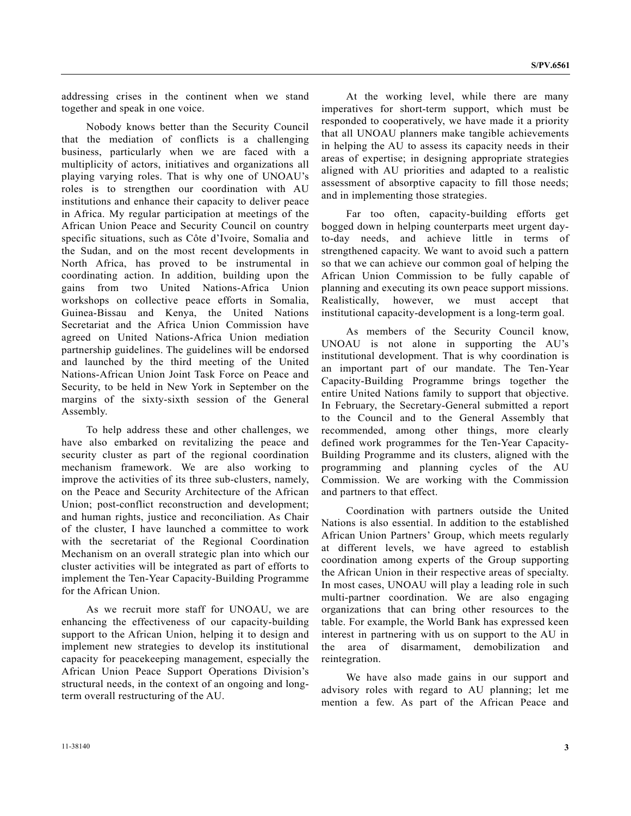addressing crises in the continent when we stand together and speak in one voice.

 Nobody knows better than the Security Council that the mediation of conflicts is a challenging business, particularly when we are faced with a multiplicity of actors, initiatives and organizations all playing varying roles. That is why one of UNOAU's roles is to strengthen our coordination with AU institutions and enhance their capacity to deliver peace in Africa. My regular participation at meetings of the African Union Peace and Security Council on country specific situations, such as Côte d'Ivoire, Somalia and the Sudan, and on the most recent developments in North Africa, has proved to be instrumental in coordinating action. In addition, building upon the gains from two United Nations-Africa Union workshops on collective peace efforts in Somalia, Guinea-Bissau and Kenya, the United Nations Secretariat and the Africa Union Commission have agreed on United Nations-Africa Union mediation partnership guidelines. The guidelines will be endorsed and launched by the third meeting of the United Nations-African Union Joint Task Force on Peace and Security, to be held in New York in September on the margins of the sixty-sixth session of the General Assembly.

 To help address these and other challenges, we have also embarked on revitalizing the peace and security cluster as part of the regional coordination mechanism framework. We are also working to improve the activities of its three sub-clusters, namely, on the Peace and Security Architecture of the African Union; post-conflict reconstruction and development; and human rights, justice and reconciliation. As Chair of the cluster, I have launched a committee to work with the secretariat of the Regional Coordination Mechanism on an overall strategic plan into which our cluster activities will be integrated as part of efforts to implement the Ten-Year Capacity-Building Programme for the African Union.

 As we recruit more staff for UNOAU, we are enhancing the effectiveness of our capacity-building support to the African Union, helping it to design and implement new strategies to develop its institutional capacity for peacekeeping management, especially the African Union Peace Support Operations Division's structural needs, in the context of an ongoing and longterm overall restructuring of the AU.

 At the working level, while there are many imperatives for short-term support, which must be responded to cooperatively, we have made it a priority that all UNOAU planners make tangible achievements in helping the AU to assess its capacity needs in their areas of expertise; in designing appropriate strategies aligned with AU priorities and adapted to a realistic assessment of absorptive capacity to fill those needs; and in implementing those strategies.

 Far too often, capacity-building efforts get bogged down in helping counterparts meet urgent dayto-day needs, and achieve little in terms of strengthened capacity. We want to avoid such a pattern so that we can achieve our common goal of helping the African Union Commission to be fully capable of planning and executing its own peace support missions. Realistically, however, we must accept that institutional capacity-development is a long-term goal.

 As members of the Security Council know, UNOAU is not alone in supporting the AU's institutional development. That is why coordination is an important part of our mandate. The Ten-Year Capacity-Building Programme brings together the entire United Nations family to support that objective. In February, the Secretary-General submitted a report to the Council and to the General Assembly that recommended, among other things, more clearly defined work programmes for the Ten-Year Capacity-Building Programme and its clusters, aligned with the programming and planning cycles of the AU Commission. We are working with the Commission and partners to that effect.

 Coordination with partners outside the United Nations is also essential. In addition to the established African Union Partners' Group, which meets regularly at different levels, we have agreed to establish coordination among experts of the Group supporting the African Union in their respective areas of specialty. In most cases, UNOAU will play a leading role in such multi-partner coordination. We are also engaging organizations that can bring other resources to the table. For example, the World Bank has expressed keen interest in partnering with us on support to the AU in the area of disarmament, demobilization and reintegration.

 We have also made gains in our support and advisory roles with regard to AU planning; let me mention a few. As part of the African Peace and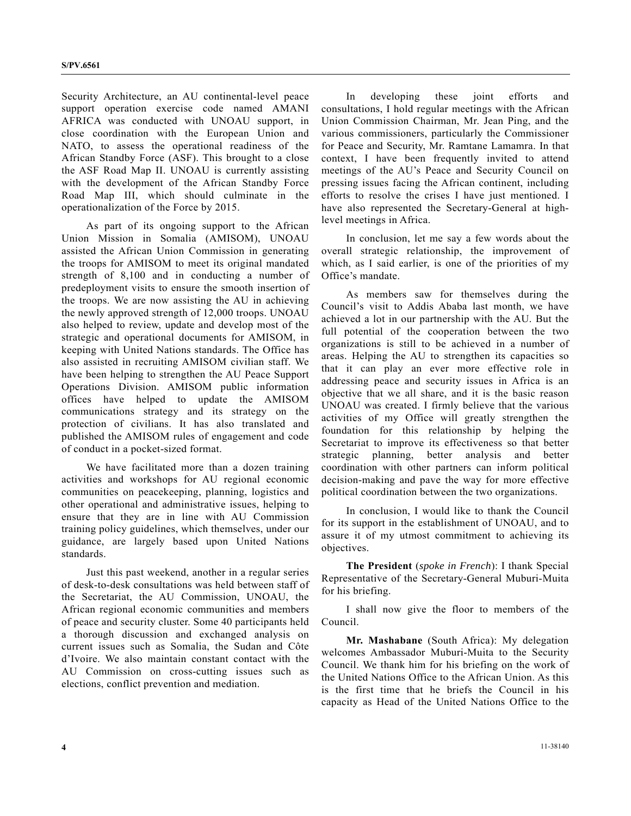Security Architecture, an AU continental-level peace support operation exercise code named AMANI AFRICA was conducted with UNOAU support, in close coordination with the European Union and NATO, to assess the operational readiness of the African Standby Force (ASF). This brought to a close the ASF Road Map II. UNOAU is currently assisting with the development of the African Standby Force Road Map III, which should culminate in the operationalization of the Force by 2015.

 As part of its ongoing support to the African Union Mission in Somalia (AMISOM), UNOAU assisted the African Union Commission in generating the troops for AMISOM to meet its original mandated strength of 8,100 and in conducting a number of predeployment visits to ensure the smooth insertion of the troops. We are now assisting the AU in achieving the newly approved strength of 12,000 troops. UNOAU also helped to review, update and develop most of the strategic and operational documents for AMISOM, in keeping with United Nations standards. The Office has also assisted in recruiting AMISOM civilian staff. We have been helping to strengthen the AU Peace Support Operations Division. AMISOM public information offices have helped to update the AMISOM communications strategy and its strategy on the protection of civilians. It has also translated and published the AMISOM rules of engagement and code of conduct in a pocket-sized format.

 We have facilitated more than a dozen training activities and workshops for AU regional economic communities on peacekeeping, planning, logistics and other operational and administrative issues, helping to ensure that they are in line with AU Commission training policy guidelines, which themselves, under our guidance, are largely based upon United Nations standards.

 Just this past weekend, another in a regular series of desk-to-desk consultations was held between staff of the Secretariat, the AU Commission, UNOAU, the African regional economic communities and members of peace and security cluster. Some 40 participants held a thorough discussion and exchanged analysis on current issues such as Somalia, the Sudan and Côte d'Ivoire. We also maintain constant contact with the AU Commission on cross-cutting issues such as elections, conflict prevention and mediation.

 In developing these joint efforts and consultations, I hold regular meetings with the African Union Commission Chairman, Mr. Jean Ping, and the various commissioners, particularly the Commissioner for Peace and Security, Mr. Ramtane Lamamra. In that context, I have been frequently invited to attend meetings of the AU's Peace and Security Council on pressing issues facing the African continent, including efforts to resolve the crises I have just mentioned. I have also represented the Secretary-General at highlevel meetings in Africa.

 In conclusion, let me say a few words about the overall strategic relationship, the improvement of which, as I said earlier, is one of the priorities of my Office's mandate.

 As members saw for themselves during the Council's visit to Addis Ababa last month, we have achieved a lot in our partnership with the AU. But the full potential of the cooperation between the two organizations is still to be achieved in a number of areas. Helping the AU to strengthen its capacities so that it can play an ever more effective role in addressing peace and security issues in Africa is an objective that we all share, and it is the basic reason UNOAU was created. I firmly believe that the various activities of my Office will greatly strengthen the foundation for this relationship by helping the Secretariat to improve its effectiveness so that better strategic planning, better analysis and better coordination with other partners can inform political decision-making and pave the way for more effective political coordination between the two organizations.

 In conclusion, I would like to thank the Council for its support in the establishment of UNOAU, and to assure it of my utmost commitment to achieving its objectives.

**The President** (*spoke in French*): I thank Special Representative of the Secretary-General Muburi-Muita for his briefing.

 I shall now give the floor to members of the Council.

**Mr. Mashabane** (South Africa): My delegation welcomes Ambassador Muburi-Muita to the Security Council. We thank him for his briefing on the work of the United Nations Office to the African Union. As this is the first time that he briefs the Council in his capacity as Head of the United Nations Office to the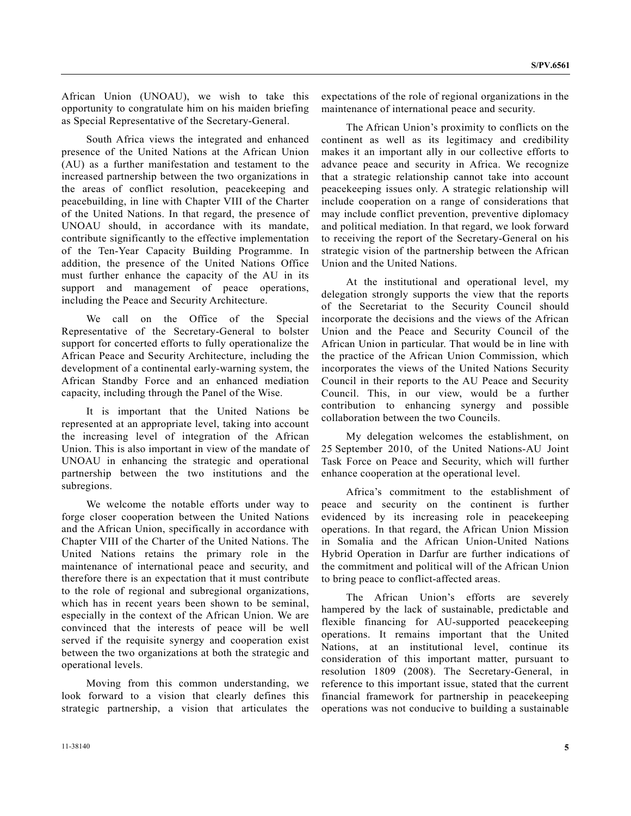African Union (UNOAU), we wish to take this opportunity to congratulate him on his maiden briefing as Special Representative of the Secretary-General.

 South Africa views the integrated and enhanced presence of the United Nations at the African Union (AU) as a further manifestation and testament to the increased partnership between the two organizations in the areas of conflict resolution, peacekeeping and peacebuilding, in line with Chapter VIII of the Charter of the United Nations. In that regard, the presence of UNOAU should, in accordance with its mandate, contribute significantly to the effective implementation of the Ten-Year Capacity Building Programme. In addition, the presence of the United Nations Office must further enhance the capacity of the AU in its support and management of peace operations, including the Peace and Security Architecture.

 We call on the Office of the Special Representative of the Secretary-General to bolster support for concerted efforts to fully operationalize the African Peace and Security Architecture, including the development of a continental early-warning system, the African Standby Force and an enhanced mediation capacity, including through the Panel of the Wise.

 It is important that the United Nations be represented at an appropriate level, taking into account the increasing level of integration of the African Union. This is also important in view of the mandate of UNOAU in enhancing the strategic and operational partnership between the two institutions and the subregions.

 We welcome the notable efforts under way to forge closer cooperation between the United Nations and the African Union, specifically in accordance with Chapter VIII of the Charter of the United Nations. The United Nations retains the primary role in the maintenance of international peace and security, and therefore there is an expectation that it must contribute to the role of regional and subregional organizations, which has in recent years been shown to be seminal, especially in the context of the African Union. We are convinced that the interests of peace will be well served if the requisite synergy and cooperation exist between the two organizations at both the strategic and operational levels.

 Moving from this common understanding, we look forward to a vision that clearly defines this strategic partnership, a vision that articulates the

 The African Union's proximity to conflicts on the continent as well as its legitimacy and credibility makes it an important ally in our collective efforts to advance peace and security in Africa. We recognize that a strategic relationship cannot take into account peacekeeping issues only. A strategic relationship will include cooperation on a range of considerations that may include conflict prevention, preventive diplomacy and political mediation. In that regard, we look forward to receiving the report of the Secretary-General on his strategic vision of the partnership between the African Union and the United Nations.

 At the institutional and operational level, my delegation strongly supports the view that the reports of the Secretariat to the Security Council should incorporate the decisions and the views of the African Union and the Peace and Security Council of the African Union in particular. That would be in line with the practice of the African Union Commission, which incorporates the views of the United Nations Security Council in their reports to the AU Peace and Security Council. This, in our view, would be a further contribution to enhancing synergy and possible collaboration between the two Councils.

 My delegation welcomes the establishment, on 25 September 2010, of the United Nations-AU Joint Task Force on Peace and Security, which will further enhance cooperation at the operational level.

 Africa's commitment to the establishment of peace and security on the continent is further evidenced by its increasing role in peacekeeping operations. In that regard, the African Union Mission in Somalia and the African Union-United Nations Hybrid Operation in Darfur are further indications of the commitment and political will of the African Union to bring peace to conflict-affected areas.

 The African Union's efforts are severely hampered by the lack of sustainable, predictable and flexible financing for AU-supported peacekeeping operations. It remains important that the United Nations, at an institutional level, continue its consideration of this important matter, pursuant to resolution 1809 (2008). The Secretary-General, in reference to this important issue, stated that the current financial framework for partnership in peacekeeping operations was not conducive to building a sustainable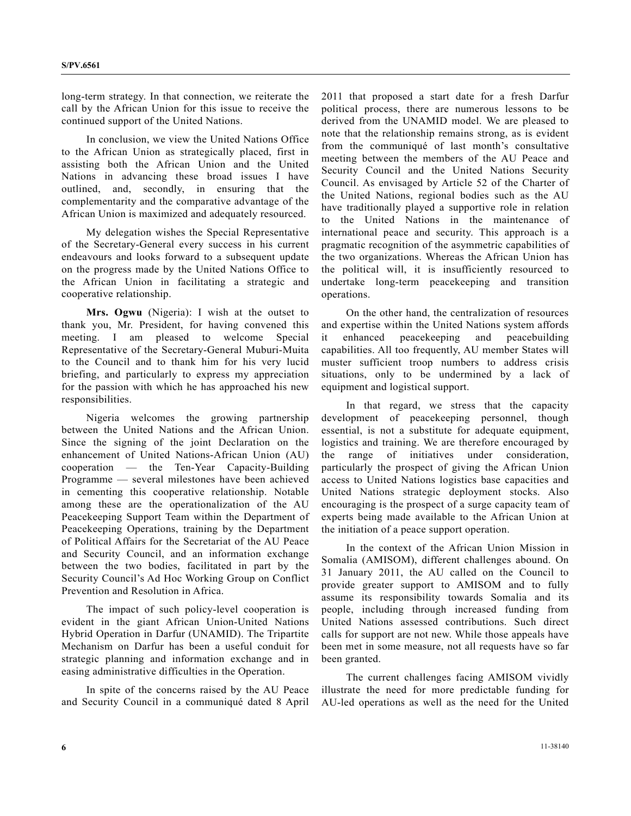long-term strategy. In that connection, we reiterate the call by the African Union for this issue to receive the continued support of the United Nations.

 In conclusion, we view the United Nations Office to the African Union as strategically placed, first in assisting both the African Union and the United Nations in advancing these broad issues I have outlined, and, secondly, in ensuring that the complementarity and the comparative advantage of the African Union is maximized and adequately resourced.

 My delegation wishes the Special Representative of the Secretary-General every success in his current endeavours and looks forward to a subsequent update on the progress made by the United Nations Office to the African Union in facilitating a strategic and cooperative relationship.

**Mrs. Ogwu** (Nigeria): I wish at the outset to thank you, Mr. President, for having convened this meeting. I am pleased to welcome Special Representative of the Secretary-General Muburi-Muita to the Council and to thank him for his very lucid briefing, and particularly to express my appreciation for the passion with which he has approached his new responsibilities.

 Nigeria welcomes the growing partnership between the United Nations and the African Union. Since the signing of the joint Declaration on the enhancement of United Nations-African Union (AU) cooperation — the Ten-Year Capacity-Building Programme — several milestones have been achieved in cementing this cooperative relationship. Notable among these are the operationalization of the AU Peacekeeping Support Team within the Department of Peacekeeping Operations, training by the Department of Political Affairs for the Secretariat of the AU Peace and Security Council, and an information exchange between the two bodies, facilitated in part by the Security Council's Ad Hoc Working Group on Conflict Prevention and Resolution in Africa.

 The impact of such policy-level cooperation is evident in the giant African Union-United Nations Hybrid Operation in Darfur (UNAMID). The Tripartite Mechanism on Darfur has been a useful conduit for strategic planning and information exchange and in easing administrative difficulties in the Operation.

 In spite of the concerns raised by the AU Peace and Security Council in a communiqué dated 8 April 2011 that proposed a start date for a fresh Darfur political process, there are numerous lessons to be derived from the UNAMID model. We are pleased to note that the relationship remains strong, as is evident from the communiqué of last month's consultative meeting between the members of the AU Peace and Security Council and the United Nations Security Council. As envisaged by Article 52 of the Charter of the United Nations, regional bodies such as the AU have traditionally played a supportive role in relation to the United Nations in the maintenance of international peace and security. This approach is a pragmatic recognition of the asymmetric capabilities of the two organizations. Whereas the African Union has the political will, it is insufficiently resourced to undertake long-term peacekeeping and transition operations.

 On the other hand, the centralization of resources and expertise within the United Nations system affords it enhanced peacekeeping and peacebuilding capabilities. All too frequently, AU member States will muster sufficient troop numbers to address crisis situations, only to be undermined by a lack of equipment and logistical support.

 In that regard, we stress that the capacity development of peacekeeping personnel, though essential, is not a substitute for adequate equipment, logistics and training. We are therefore encouraged by the range of initiatives under consideration, particularly the prospect of giving the African Union access to United Nations logistics base capacities and United Nations strategic deployment stocks. Also encouraging is the prospect of a surge capacity team of experts being made available to the African Union at the initiation of a peace support operation.

 In the context of the African Union Mission in Somalia (AMISOM), different challenges abound. On 31 January 2011, the AU called on the Council to provide greater support to AMISOM and to fully assume its responsibility towards Somalia and its people, including through increased funding from United Nations assessed contributions. Such direct calls for support are not new. While those appeals have been met in some measure, not all requests have so far been granted.

 The current challenges facing AMISOM vividly illustrate the need for more predictable funding for AU-led operations as well as the need for the United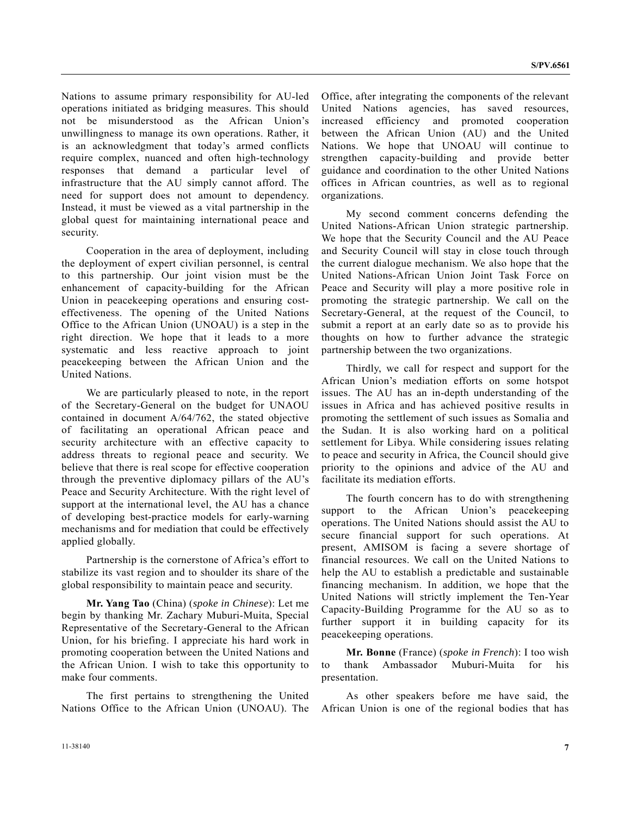Nations to assume primary responsibility for AU-led operations initiated as bridging measures. This should not be misunderstood as the African Union's unwillingness to manage its own operations. Rather, it is an acknowledgment that today's armed conflicts require complex, nuanced and often high-technology responses that demand a particular level of infrastructure that the AU simply cannot afford. The need for support does not amount to dependency. Instead, it must be viewed as a vital partnership in the global quest for maintaining international peace and security.

 Cooperation in the area of deployment, including the deployment of expert civilian personnel, is central to this partnership. Our joint vision must be the enhancement of capacity-building for the African Union in peacekeeping operations and ensuring costeffectiveness. The opening of the United Nations Office to the African Union (UNOAU) is a step in the right direction. We hope that it leads to a more systematic and less reactive approach to joint peacekeeping between the African Union and the United Nations.

 We are particularly pleased to note, in the report of the Secretary-General on the budget for UNAOU contained in document A/64/762, the stated objective of facilitating an operational African peace and security architecture with an effective capacity to address threats to regional peace and security. We believe that there is real scope for effective cooperation through the preventive diplomacy pillars of the AU's Peace and Security Architecture. With the right level of support at the international level, the AU has a chance of developing best-practice models for early-warning mechanisms and for mediation that could be effectively applied globally.

 Partnership is the cornerstone of Africa's effort to stabilize its vast region and to shoulder its share of the global responsibility to maintain peace and security.

**Mr. Yang Tao** (China) (*spoke in Chinese*): Let me begin by thanking Mr. Zachary Muburi-Muita, Special Representative of the Secretary-General to the African Union, for his briefing. I appreciate his hard work in promoting cooperation between the United Nations and the African Union. I wish to take this opportunity to make four comments.

 The first pertains to strengthening the United Nations Office to the African Union (UNOAU). The Office, after integrating the components of the relevant United Nations agencies, has saved resources, increased efficiency and promoted cooperation between the African Union (AU) and the United Nations. We hope that UNOAU will continue to strengthen capacity-building and provide better guidance and coordination to the other United Nations offices in African countries, as well as to regional organizations.

 My second comment concerns defending the United Nations-African Union strategic partnership. We hope that the Security Council and the AU Peace and Security Council will stay in close touch through the current dialogue mechanism. We also hope that the United Nations-African Union Joint Task Force on Peace and Security will play a more positive role in promoting the strategic partnership. We call on the Secretary-General, at the request of the Council, to submit a report at an early date so as to provide his thoughts on how to further advance the strategic partnership between the two organizations.

 Thirdly, we call for respect and support for the African Union's mediation efforts on some hotspot issues. The AU has an in-depth understanding of the issues in Africa and has achieved positive results in promoting the settlement of such issues as Somalia and the Sudan. It is also working hard on a political settlement for Libya. While considering issues relating to peace and security in Africa, the Council should give priority to the opinions and advice of the AU and facilitate its mediation efforts.

 The fourth concern has to do with strengthening support to the African Union's peacekeeping operations. The United Nations should assist the AU to secure financial support for such operations. At present, AMISOM is facing a severe shortage of financial resources. We call on the United Nations to help the AU to establish a predictable and sustainable financing mechanism. In addition, we hope that the United Nations will strictly implement the Ten-Year Capacity-Building Programme for the AU so as to further support it in building capacity for its peacekeeping operations.

**Mr. Bonne** (France) (*spoke in French*): I too wish to thank Ambassador Muburi-Muita for his presentation.

 As other speakers before me have said, the African Union is one of the regional bodies that has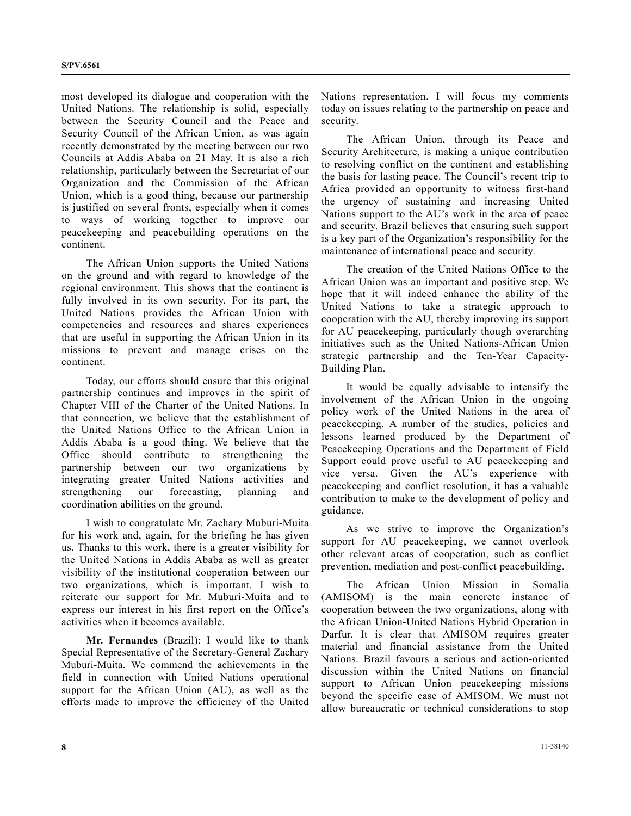most developed its dialogue and cooperation with the United Nations. The relationship is solid, especially between the Security Council and the Peace and Security Council of the African Union, as was again recently demonstrated by the meeting between our two Councils at Addis Ababa on 21 May. It is also a rich relationship, particularly between the Secretariat of our Organization and the Commission of the African Union, which is a good thing, because our partnership is justified on several fronts, especially when it comes to ways of working together to improve our peacekeeping and peacebuilding operations on the continent.

 The African Union supports the United Nations on the ground and with regard to knowledge of the regional environment. This shows that the continent is fully involved in its own security. For its part, the United Nations provides the African Union with competencies and resources and shares experiences that are useful in supporting the African Union in its missions to prevent and manage crises on the continent.

 Today, our efforts should ensure that this original partnership continues and improves in the spirit of Chapter VIII of the Charter of the United Nations. In that connection, we believe that the establishment of the United Nations Office to the African Union in Addis Ababa is a good thing. We believe that the Office should contribute to strengthening the partnership between our two organizations by integrating greater United Nations activities and strengthening our forecasting, planning and coordination abilities on the ground.

 I wish to congratulate Mr. Zachary Muburi-Muita for his work and, again, for the briefing he has given us. Thanks to this work, there is a greater visibility for the United Nations in Addis Ababa as well as greater visibility of the institutional cooperation between our two organizations, which is important. I wish to reiterate our support for Mr. Muburi-Muita and to express our interest in his first report on the Office's activities when it becomes available.

**Mr. Fernandes** (Brazil): I would like to thank Special Representative of the Secretary-General Zachary Muburi-Muita. We commend the achievements in the field in connection with United Nations operational support for the African Union (AU), as well as the efforts made to improve the efficiency of the United

Nations representation. I will focus my comments today on issues relating to the partnership on peace and security.

 The African Union, through its Peace and Security Architecture, is making a unique contribution to resolving conflict on the continent and establishing the basis for lasting peace. The Council's recent trip to Africa provided an opportunity to witness first-hand the urgency of sustaining and increasing United Nations support to the AU's work in the area of peace and security. Brazil believes that ensuring such support is a key part of the Organization's responsibility for the maintenance of international peace and security.

 The creation of the United Nations Office to the African Union was an important and positive step. We hope that it will indeed enhance the ability of the United Nations to take a strategic approach to cooperation with the AU, thereby improving its support for AU peacekeeping, particularly though overarching initiatives such as the United Nations-African Union strategic partnership and the Ten-Year Capacity-Building Plan.

 It would be equally advisable to intensify the involvement of the African Union in the ongoing policy work of the United Nations in the area of peacekeeping. A number of the studies, policies and lessons learned produced by the Department of Peacekeeping Operations and the Department of Field Support could prove useful to AU peacekeeping and vice versa. Given the AU's experience with peacekeeping and conflict resolution, it has a valuable contribution to make to the development of policy and guidance.

 As we strive to improve the Organization's support for AU peacekeeping, we cannot overlook other relevant areas of cooperation, such as conflict prevention, mediation and post-conflict peacebuilding.

 The African Union Mission in Somalia (AMISOM) is the main concrete instance of cooperation between the two organizations, along with the African Union-United Nations Hybrid Operation in Darfur. It is clear that AMISOM requires greater material and financial assistance from the United Nations. Brazil favours a serious and action-oriented discussion within the United Nations on financial support to African Union peacekeeping missions beyond the specific case of AMISOM. We must not allow bureaucratic or technical considerations to stop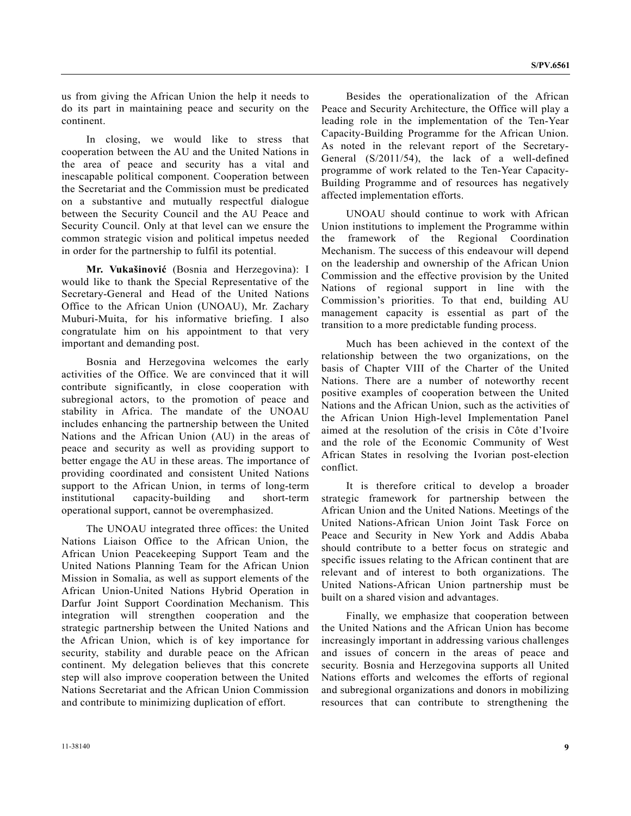us from giving the African Union the help it needs to do its part in maintaining peace and security on the continent.

 In closing, we would like to stress that cooperation between the AU and the United Nations in the area of peace and security has a vital and inescapable political component. Cooperation between the Secretariat and the Commission must be predicated on a substantive and mutually respectful dialogue between the Security Council and the AU Peace and Security Council. Only at that level can we ensure the common strategic vision and political impetus needed in order for the partnership to fulfil its potential.

**Mr. Vukašinović** (Bosnia and Herzegovina): I would like to thank the Special Representative of the Secretary-General and Head of the United Nations Office to the African Union (UNOAU), Mr. Zachary Muburi-Muita, for his informative briefing. I also congratulate him on his appointment to that very important and demanding post.

 Bosnia and Herzegovina welcomes the early activities of the Office. We are convinced that it will contribute significantly, in close cooperation with subregional actors, to the promotion of peace and stability in Africa. The mandate of the UNOAU includes enhancing the partnership between the United Nations and the African Union (AU) in the areas of peace and security as well as providing support to better engage the AU in these areas. The importance of providing coordinated and consistent United Nations support to the African Union, in terms of long-term institutional capacity-building and short-term operational support, cannot be overemphasized.

 The UNOAU integrated three offices: the United Nations Liaison Office to the African Union, the African Union Peacekeeping Support Team and the United Nations Planning Team for the African Union Mission in Somalia, as well as support elements of the African Union-United Nations Hybrid Operation in Darfur Joint Support Coordination Mechanism. This integration will strengthen cooperation and the strategic partnership between the United Nations and the African Union, which is of key importance for security, stability and durable peace on the African continent. My delegation believes that this concrete step will also improve cooperation between the United Nations Secretariat and the African Union Commission and contribute to minimizing duplication of effort.

 Besides the operationalization of the African Peace and Security Architecture, the Office will play a leading role in the implementation of the Ten-Year Capacity-Building Programme for the African Union. As noted in the relevant report of the Secretary-General (S/2011/54), the lack of a well-defined programme of work related to the Ten-Year Capacity-Building Programme and of resources has negatively affected implementation efforts.

 UNOAU should continue to work with African Union institutions to implement the Programme within the framework of the Regional Coordination Mechanism. The success of this endeavour will depend on the leadership and ownership of the African Union Commission and the effective provision by the United Nations of regional support in line with the Commission's priorities. To that end, building AU management capacity is essential as part of the transition to a more predictable funding process.

 Much has been achieved in the context of the relationship between the two organizations, on the basis of Chapter VIII of the Charter of the United Nations. There are a number of noteworthy recent positive examples of cooperation between the United Nations and the African Union, such as the activities of the African Union High-level Implementation Panel aimed at the resolution of the crisis in Côte d'Ivoire and the role of the Economic Community of West African States in resolving the Ivorian post-election conflict.

 It is therefore critical to develop a broader strategic framework for partnership between the African Union and the United Nations. Meetings of the United Nations-African Union Joint Task Force on Peace and Security in New York and Addis Ababa should contribute to a better focus on strategic and specific issues relating to the African continent that are relevant and of interest to both organizations. The United Nations-African Union partnership must be built on a shared vision and advantages.

 Finally, we emphasize that cooperation between the United Nations and the African Union has become increasingly important in addressing various challenges and issues of concern in the areas of peace and security. Bosnia and Herzegovina supports all United Nations efforts and welcomes the efforts of regional and subregional organizations and donors in mobilizing resources that can contribute to strengthening the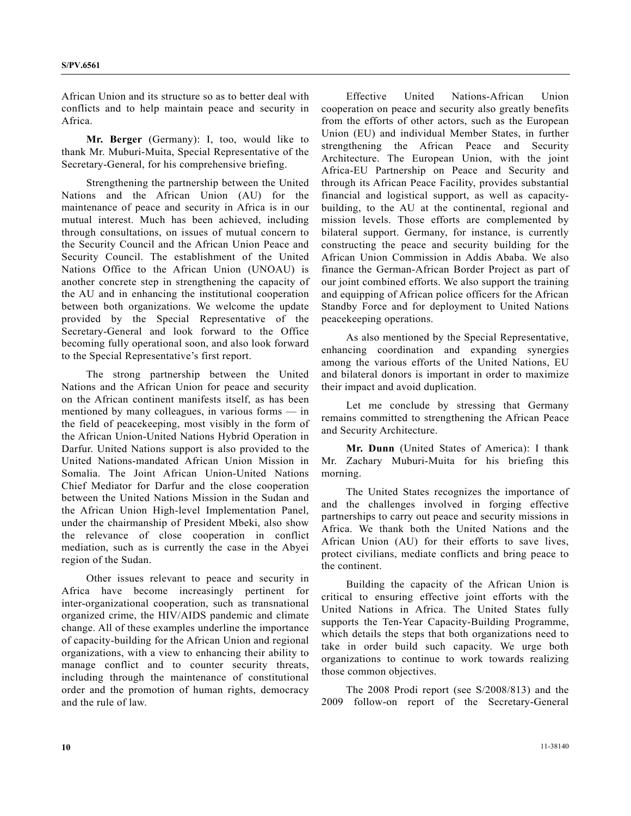African Union and its structure so as to better deal with conflicts and to help maintain peace and security in Africa.

**Mr. Berger** (Germany): I, too, would like to thank Mr. Muburi-Muita, Special Representative of the Secretary-General, for his comprehensive briefing.

 Strengthening the partnership between the United Nations and the African Union (AU) for the maintenance of peace and security in Africa is in our mutual interest. Much has been achieved, including through consultations, on issues of mutual concern to the Security Council and the African Union Peace and Security Council. The establishment of the United Nations Office to the African Union (UNOAU) is another concrete step in strengthening the capacity of the AU and in enhancing the institutional cooperation between both organizations. We welcome the update provided by the Special Representative of the Secretary-General and look forward to the Office becoming fully operational soon, and also look forward to the Special Representative's first report.

 The strong partnership between the United Nations and the African Union for peace and security on the African continent manifests itself, as has been mentioned by many colleagues, in various forms — in the field of peacekeeping, most visibly in the form of the African Union-United Nations Hybrid Operation in Darfur. United Nations support is also provided to the United Nations-mandated African Union Mission in Somalia. The Joint African Union-United Nations Chief Mediator for Darfur and the close cooperation between the United Nations Mission in the Sudan and the African Union High-level Implementation Panel, under the chairmanship of President Mbeki, also show the relevance of close cooperation in conflict mediation, such as is currently the case in the Abyei region of the Sudan.

 Other issues relevant to peace and security in Africa have become increasingly pertinent for inter-organizational cooperation, such as transnational organized crime, the HIV/AIDS pandemic and climate change. All of these examples underline the importance of capacity-building for the African Union and regional organizations, with a view to enhancing their ability to manage conflict and to counter security threats, including through the maintenance of constitutional order and the promotion of human rights, democracy and the rule of law.

 Effective United Nations-African Union cooperation on peace and security also greatly benefits from the efforts of other actors, such as the European Union (EU) and individual Member States, in further strengthening the African Peace and Security Architecture. The European Union, with the joint Africa-EU Partnership on Peace and Security and through its African Peace Facility, provides substantial financial and logistical support, as well as capacitybuilding, to the AU at the continental, regional and mission levels. Those efforts are complemented by bilateral support. Germany, for instance, is currently constructing the peace and security building for the African Union Commission in Addis Ababa. We also finance the German-African Border Project as part of our joint combined efforts. We also support the training and equipping of African police officers for the African Standby Force and for deployment to United Nations peacekeeping operations.

 As also mentioned by the Special Representative, enhancing coordination and expanding synergies among the various efforts of the United Nations, EU and bilateral donors is important in order to maximize their impact and avoid duplication.

 Let me conclude by stressing that Germany remains committed to strengthening the African Peace and Security Architecture.

**Mr. Dunn** (United States of America): I thank Mr. Zachary Muburi-Muita for his briefing this morning.

 The United States recognizes the importance of and the challenges involved in forging effective partnerships to carry out peace and security missions in Africa. We thank both the United Nations and the African Union (AU) for their efforts to save lives, protect civilians, mediate conflicts and bring peace to the continent.

 Building the capacity of the African Union is critical to ensuring effective joint efforts with the United Nations in Africa. The United States fully supports the Ten-Year Capacity-Building Programme, which details the steps that both organizations need to take in order build such capacity. We urge both organizations to continue to work towards realizing those common objectives.

 The 2008 Prodi report (see S/2008/813) and the 2009 follow-on report of the Secretary-General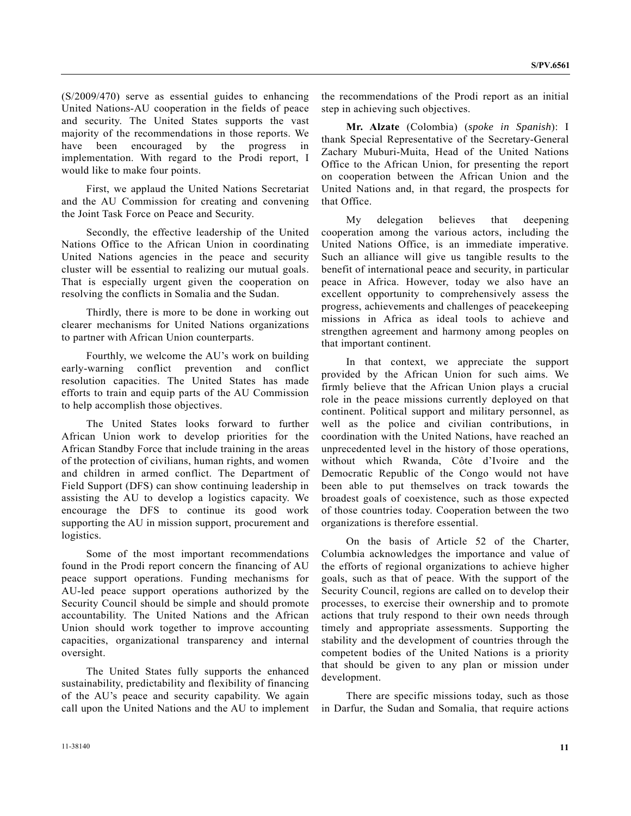(S/2009/470) serve as essential guides to enhancing United Nations-AU cooperation in the fields of peace and security. The United States supports the vast majority of the recommendations in those reports. We have been encouraged by the progress in implementation. With regard to the Prodi report, I would like to make four points.

 First, we applaud the United Nations Secretariat and the AU Commission for creating and convening the Joint Task Force on Peace and Security.

 Secondly, the effective leadership of the United Nations Office to the African Union in coordinating United Nations agencies in the peace and security cluster will be essential to realizing our mutual goals. That is especially urgent given the cooperation on resolving the conflicts in Somalia and the Sudan.

 Thirdly, there is more to be done in working out clearer mechanisms for United Nations organizations to partner with African Union counterparts.

 Fourthly, we welcome the AU's work on building early-warning conflict prevention and conflict resolution capacities. The United States has made efforts to train and equip parts of the AU Commission to help accomplish those objectives.

 The United States looks forward to further African Union work to develop priorities for the African Standby Force that include training in the areas of the protection of civilians, human rights, and women and children in armed conflict. The Department of Field Support (DFS) can show continuing leadership in assisting the AU to develop a logistics capacity. We encourage the DFS to continue its good work supporting the AU in mission support, procurement and logistics.

 Some of the most important recommendations found in the Prodi report concern the financing of AU peace support operations. Funding mechanisms for AU-led peace support operations authorized by the Security Council should be simple and should promote accountability. The United Nations and the African Union should work together to improve accounting capacities, organizational transparency and internal oversight.

 The United States fully supports the enhanced sustainability, predictability and flexibility of financing of the AU's peace and security capability. We again call upon the United Nations and the AU to implement

the recommendations of the Prodi report as an initial step in achieving such objectives.

**Mr. Alzate** (Colombia) (*spoke in Spanish*): I thank Special Representative of the Secretary-General Zachary Muburi-Muita, Head of the United Nations Office to the African Union, for presenting the report on cooperation between the African Union and the United Nations and, in that regard, the prospects for that Office.

 My delegation believes that deepening cooperation among the various actors, including the United Nations Office, is an immediate imperative. Such an alliance will give us tangible results to the benefit of international peace and security, in particular peace in Africa. However, today we also have an excellent opportunity to comprehensively assess the progress, achievements and challenges of peacekeeping missions in Africa as ideal tools to achieve and strengthen agreement and harmony among peoples on that important continent.

 In that context, we appreciate the support provided by the African Union for such aims. We firmly believe that the African Union plays a crucial role in the peace missions currently deployed on that continent. Political support and military personnel, as well as the police and civilian contributions, in coordination with the United Nations, have reached an unprecedented level in the history of those operations, without which Rwanda, Côte d'Ivoire and the Democratic Republic of the Congo would not have been able to put themselves on track towards the broadest goals of coexistence, such as those expected of those countries today. Cooperation between the two organizations is therefore essential.

 On the basis of Article 52 of the Charter, Columbia acknowledges the importance and value of the efforts of regional organizations to achieve higher goals, such as that of peace. With the support of the Security Council, regions are called on to develop their processes, to exercise their ownership and to promote actions that truly respond to their own needs through timely and appropriate assessments. Supporting the stability and the development of countries through the competent bodies of the United Nations is a priority that should be given to any plan or mission under development.

 There are specific missions today, such as those in Darfur, the Sudan and Somalia, that require actions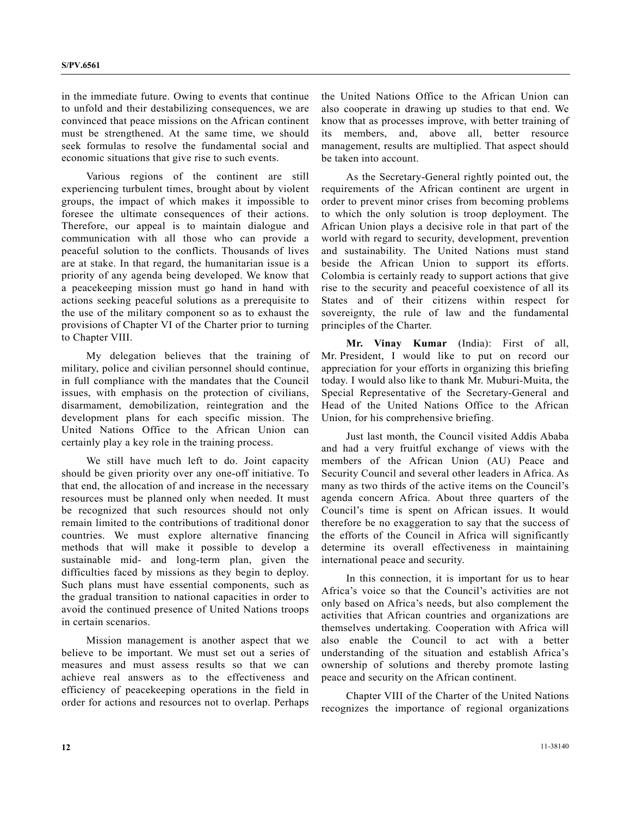in the immediate future. Owing to events that continue to unfold and their destabilizing consequences, we are convinced that peace missions on the African continent must be strengthened. At the same time, we should seek formulas to resolve the fundamental social and economic situations that give rise to such events.

 Various regions of the continent are still experiencing turbulent times, brought about by violent groups, the impact of which makes it impossible to foresee the ultimate consequences of their actions. Therefore, our appeal is to maintain dialogue and communication with all those who can provide a peaceful solution to the conflicts. Thousands of lives are at stake. In that regard, the humanitarian issue is a priority of any agenda being developed. We know that a peacekeeping mission must go hand in hand with actions seeking peaceful solutions as a prerequisite to the use of the military component so as to exhaust the provisions of Chapter VI of the Charter prior to turning to Chapter VIII.

 My delegation believes that the training of military, police and civilian personnel should continue, in full compliance with the mandates that the Council issues, with emphasis on the protection of civilians, disarmament, demobilization, reintegration and the development plans for each specific mission. The United Nations Office to the African Union can certainly play a key role in the training process.

 We still have much left to do. Joint capacity should be given priority over any one-off initiative. To that end, the allocation of and increase in the necessary resources must be planned only when needed. It must be recognized that such resources should not only remain limited to the contributions of traditional donor countries. We must explore alternative financing methods that will make it possible to develop a sustainable mid- and long-term plan, given the difficulties faced by missions as they begin to deploy. Such plans must have essential components, such as the gradual transition to national capacities in order to avoid the continued presence of United Nations troops in certain scenarios.

 Mission management is another aspect that we believe to be important. We must set out a series of measures and must assess results so that we can achieve real answers as to the effectiveness and efficiency of peacekeeping operations in the field in order for actions and resources not to overlap. Perhaps

the United Nations Office to the African Union can also cooperate in drawing up studies to that end. We know that as processes improve, with better training of its members, and, above all, better resource management, results are multiplied. That aspect should be taken into account.

 As the Secretary-General rightly pointed out, the requirements of the African continent are urgent in order to prevent minor crises from becoming problems to which the only solution is troop deployment. The African Union plays a decisive role in that part of the world with regard to security, development, prevention and sustainability. The United Nations must stand beside the African Union to support its efforts. Colombia is certainly ready to support actions that give rise to the security and peaceful coexistence of all its States and of their citizens within respect for sovereignty, the rule of law and the fundamental principles of the Charter.

**Mr. Vinay Kumar** (India): First of all, Mr. President, I would like to put on record our appreciation for your efforts in organizing this briefing today. I would also like to thank Mr. Muburi-Muita, the Special Representative of the Secretary-General and Head of the United Nations Office to the African Union, for his comprehensive briefing.

 Just last month, the Council visited Addis Ababa and had a very fruitful exchange of views with the members of the African Union (AU) Peace and Security Council and several other leaders in Africa. As many as two thirds of the active items on the Council's agenda concern Africa. About three quarters of the Council's time is spent on African issues. It would therefore be no exaggeration to say that the success of the efforts of the Council in Africa will significantly determine its overall effectiveness in maintaining international peace and security.

 In this connection, it is important for us to hear Africa's voice so that the Council's activities are not only based on Africa's needs, but also complement the activities that African countries and organizations are themselves undertaking. Cooperation with Africa will also enable the Council to act with a better understanding of the situation and establish Africa's ownership of solutions and thereby promote lasting peace and security on the African continent.

 Chapter VIII of the Charter of the United Nations recognizes the importance of regional organizations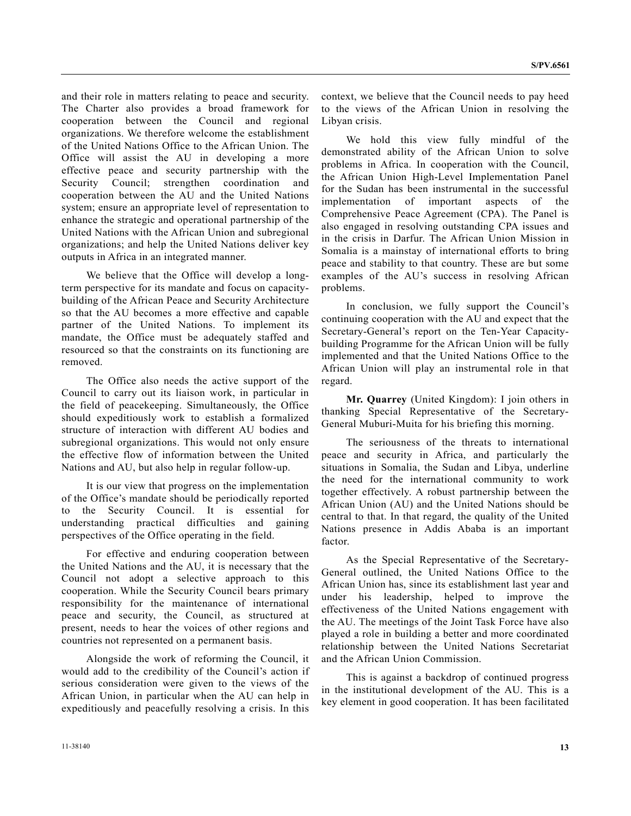and their role in matters relating to peace and security. The Charter also provides a broad framework for cooperation between the Council and regional organizations. We therefore welcome the establishment of the United Nations Office to the African Union. The Office will assist the AU in developing a more effective peace and security partnership with the Security Council; strengthen coordination and cooperation between the AU and the United Nations system; ensure an appropriate level of representation to enhance the strategic and operational partnership of the United Nations with the African Union and subregional organizations; and help the United Nations deliver key outputs in Africa in an integrated manner.

 We believe that the Office will develop a longterm perspective for its mandate and focus on capacitybuilding of the African Peace and Security Architecture so that the AU becomes a more effective and capable partner of the United Nations. To implement its mandate, the Office must be adequately staffed and resourced so that the constraints on its functioning are removed.

 The Office also needs the active support of the Council to carry out its liaison work, in particular in the field of peacekeeping. Simultaneously, the Office should expeditiously work to establish a formalized structure of interaction with different AU bodies and subregional organizations. This would not only ensure the effective flow of information between the United Nations and AU, but also help in regular follow-up.

 It is our view that progress on the implementation of the Office's mandate should be periodically reported to the Security Council. It is essential for understanding practical difficulties and gaining perspectives of the Office operating in the field.

 For effective and enduring cooperation between the United Nations and the AU, it is necessary that the Council not adopt a selective approach to this cooperation. While the Security Council bears primary responsibility for the maintenance of international peace and security, the Council, as structured at present, needs to hear the voices of other regions and countries not represented on a permanent basis.

 Alongside the work of reforming the Council, it would add to the credibility of the Council's action if serious consideration were given to the views of the African Union, in particular when the AU can help in expeditiously and peacefully resolving a crisis. In this

context, we believe that the Council needs to pay heed to the views of the African Union in resolving the Libyan crisis.

 We hold this view fully mindful of the demonstrated ability of the African Union to solve problems in Africa. In cooperation with the Council, the African Union High-Level Implementation Panel for the Sudan has been instrumental in the successful implementation of important aspects of the Comprehensive Peace Agreement (CPA). The Panel is also engaged in resolving outstanding CPA issues and in the crisis in Darfur. The African Union Mission in Somalia is a mainstay of international efforts to bring peace and stability to that country. These are but some examples of the AU's success in resolving African problems.

 In conclusion, we fully support the Council's continuing cooperation with the AU and expect that the Secretary-General's report on the Ten-Year Capacitybuilding Programme for the African Union will be fully implemented and that the United Nations Office to the African Union will play an instrumental role in that regard.

**Mr. Quarrey** (United Kingdom): I join others in thanking Special Representative of the Secretary-General Muburi-Muita for his briefing this morning.

 The seriousness of the threats to international peace and security in Africa, and particularly the situations in Somalia, the Sudan and Libya, underline the need for the international community to work together effectively. A robust partnership between the African Union (AU) and the United Nations should be central to that. In that regard, the quality of the United Nations presence in Addis Ababa is an important factor.

 As the Special Representative of the Secretary-General outlined, the United Nations Office to the African Union has, since its establishment last year and under his leadership, helped to improve the effectiveness of the United Nations engagement with the AU. The meetings of the Joint Task Force have also played a role in building a better and more coordinated relationship between the United Nations Secretariat and the African Union Commission.

 This is against a backdrop of continued progress in the institutional development of the AU. This is a key element in good cooperation. It has been facilitated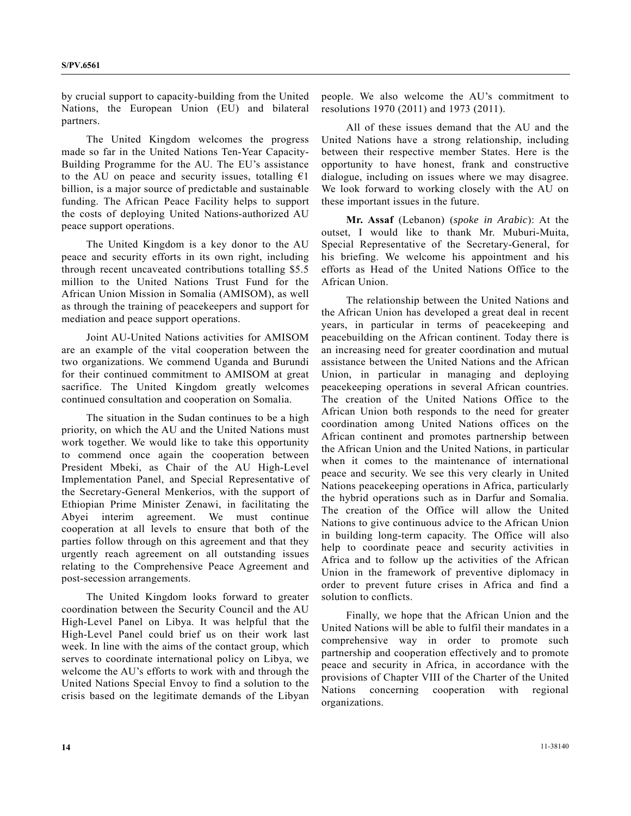by crucial support to capacity-building from the United Nations, the European Union (EU) and bilateral partners.

 The United Kingdom welcomes the progress made so far in the United Nations Ten-Year Capacity-Building Programme for the AU. The EU's assistance to the AU on peace and security issues, totalling  $\epsilon$ 1 billion, is a major source of predictable and sustainable funding. The African Peace Facility helps to support the costs of deploying United Nations-authorized AU peace support operations.

 The United Kingdom is a key donor to the AU peace and security efforts in its own right, including through recent uncaveated contributions totalling \$5.5 million to the United Nations Trust Fund for the African Union Mission in Somalia (AMISOM), as well as through the training of peacekeepers and support for mediation and peace support operations.

 Joint AU-United Nations activities for AMISOM are an example of the vital cooperation between the two organizations. We commend Uganda and Burundi for their continued commitment to AMISOM at great sacrifice. The United Kingdom greatly welcomes continued consultation and cooperation on Somalia.

 The situation in the Sudan continues to be a high priority, on which the AU and the United Nations must work together. We would like to take this opportunity to commend once again the cooperation between President Mbeki, as Chair of the AU High-Level Implementation Panel, and Special Representative of the Secretary-General Menkerios, with the support of Ethiopian Prime Minister Zenawi, in facilitating the Abyei interim agreement. We must continue cooperation at all levels to ensure that both of the parties follow through on this agreement and that they urgently reach agreement on all outstanding issues relating to the Comprehensive Peace Agreement and post-secession arrangements.

 The United Kingdom looks forward to greater coordination between the Security Council and the AU High-Level Panel on Libya. It was helpful that the High-Level Panel could brief us on their work last week. In line with the aims of the contact group, which serves to coordinate international policy on Libya, we welcome the AU's efforts to work with and through the United Nations Special Envoy to find a solution to the crisis based on the legitimate demands of the Libyan

people. We also welcome the AU's commitment to resolutions 1970 (2011) and 1973 (2011).

 All of these issues demand that the AU and the United Nations have a strong relationship, including between their respective member States. Here is the opportunity to have honest, frank and constructive dialogue, including on issues where we may disagree. We look forward to working closely with the AU on these important issues in the future.

**Mr. Assaf** (Lebanon) (*spoke in Arabic*): At the outset, I would like to thank Mr. Muburi-Muita, Special Representative of the Secretary-General, for his briefing. We welcome his appointment and his efforts as Head of the United Nations Office to the African Union.

 The relationship between the United Nations and the African Union has developed a great deal in recent years, in particular in terms of peacekeeping and peacebuilding on the African continent. Today there is an increasing need for greater coordination and mutual assistance between the United Nations and the African Union, in particular in managing and deploying peacekeeping operations in several African countries. The creation of the United Nations Office to the African Union both responds to the need for greater coordination among United Nations offices on the African continent and promotes partnership between the African Union and the United Nations, in particular when it comes to the maintenance of international peace and security. We see this very clearly in United Nations peacekeeping operations in Africa, particularly the hybrid operations such as in Darfur and Somalia. The creation of the Office will allow the United Nations to give continuous advice to the African Union in building long-term capacity. The Office will also help to coordinate peace and security activities in Africa and to follow up the activities of the African Union in the framework of preventive diplomacy in order to prevent future crises in Africa and find a solution to conflicts.

 Finally, we hope that the African Union and the United Nations will be able to fulfil their mandates in a comprehensive way in order to promote such partnership and cooperation effectively and to promote peace and security in Africa, in accordance with the provisions of Chapter VIII of the Charter of the United Nations concerning cooperation with regional organizations.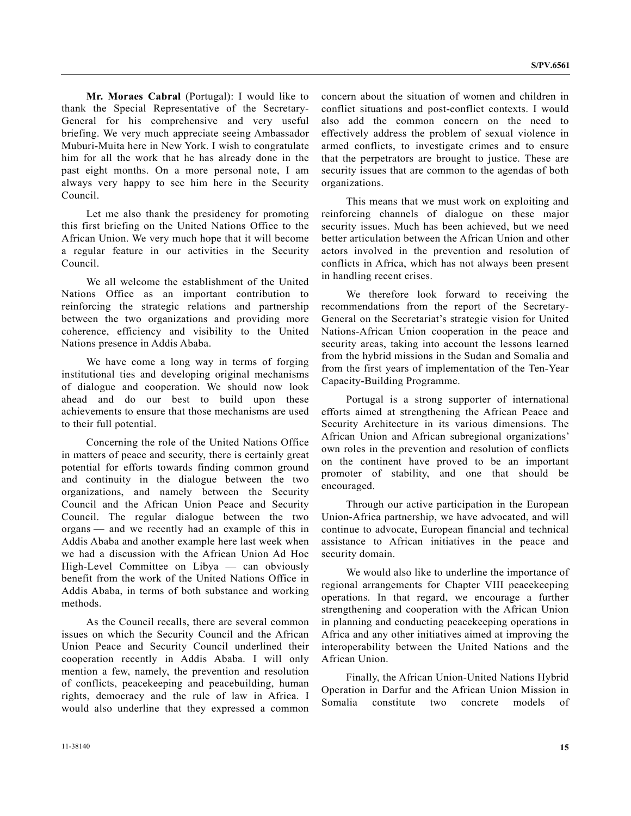**Mr. Moraes Cabral** (Portugal): I would like to thank the Special Representative of the Secretary-General for his comprehensive and very useful briefing. We very much appreciate seeing Ambassador Muburi-Muita here in New York. I wish to congratulate him for all the work that he has already done in the past eight months. On a more personal note, I am always very happy to see him here in the Security Council.

 Let me also thank the presidency for promoting this first briefing on the United Nations Office to the African Union. We very much hope that it will become a regular feature in our activities in the Security Council.

 We all welcome the establishment of the United Nations Office as an important contribution to reinforcing the strategic relations and partnership between the two organizations and providing more coherence, efficiency and visibility to the United Nations presence in Addis Ababa.

 We have come a long way in terms of forging institutional ties and developing original mechanisms of dialogue and cooperation. We should now look ahead and do our best to build upon these achievements to ensure that those mechanisms are used to their full potential.

 Concerning the role of the United Nations Office in matters of peace and security, there is certainly great potential for efforts towards finding common ground and continuity in the dialogue between the two organizations, and namely between the Security Council and the African Union Peace and Security Council. The regular dialogue between the two organs — and we recently had an example of this in Addis Ababa and another example here last week when we had a discussion with the African Union Ad Hoc High-Level Committee on Libya — can obviously benefit from the work of the United Nations Office in Addis Ababa, in terms of both substance and working methods.

 As the Council recalls, there are several common issues on which the Security Council and the African Union Peace and Security Council underlined their cooperation recently in Addis Ababa. I will only mention a few, namely, the prevention and resolution of conflicts, peacekeeping and peacebuilding, human rights, democracy and the rule of law in Africa. I would also underline that they expressed a common

concern about the situation of women and children in conflict situations and post-conflict contexts. I would also add the common concern on the need to effectively address the problem of sexual violence in armed conflicts, to investigate crimes and to ensure that the perpetrators are brought to justice. These are security issues that are common to the agendas of both organizations.

 This means that we must work on exploiting and reinforcing channels of dialogue on these major security issues. Much has been achieved, but we need better articulation between the African Union and other actors involved in the prevention and resolution of conflicts in Africa, which has not always been present in handling recent crises.

 We therefore look forward to receiving the recommendations from the report of the Secretary-General on the Secretariat's strategic vision for United Nations-African Union cooperation in the peace and security areas, taking into account the lessons learned from the hybrid missions in the Sudan and Somalia and from the first years of implementation of the Ten-Year Capacity-Building Programme.

 Portugal is a strong supporter of international efforts aimed at strengthening the African Peace and Security Architecture in its various dimensions. The African Union and African subregional organizations' own roles in the prevention and resolution of conflicts on the continent have proved to be an important promoter of stability, and one that should be encouraged.

 Through our active participation in the European Union-Africa partnership, we have advocated, and will continue to advocate, European financial and technical assistance to African initiatives in the peace and security domain.

 We would also like to underline the importance of regional arrangements for Chapter VIII peacekeeping operations. In that regard, we encourage a further strengthening and cooperation with the African Union in planning and conducting peacekeeping operations in Africa and any other initiatives aimed at improving the interoperability between the United Nations and the African Union.

 Finally, the African Union-United Nations Hybrid Operation in Darfur and the African Union Mission in Somalia constitute two concrete models of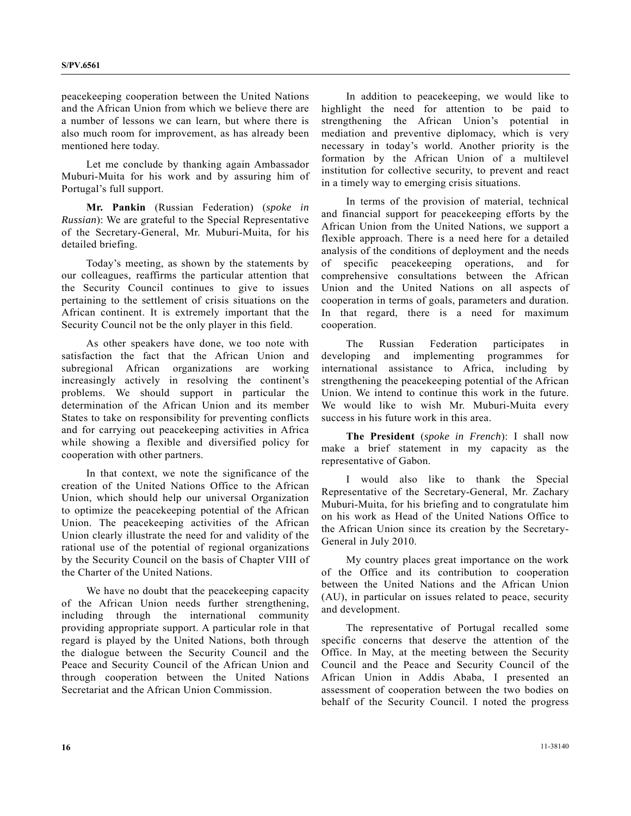peacekeeping cooperation between the United Nations and the African Union from which we believe there are a number of lessons we can learn, but where there is also much room for improvement, as has already been mentioned here today.

 Let me conclude by thanking again Ambassador Muburi-Muita for his work and by assuring him of Portugal's full support.

**Mr. Pankin** (Russian Federation) (*spoke in Russian*): We are grateful to the Special Representative of the Secretary-General, Mr. Muburi-Muita, for his detailed briefing.

 Today's meeting, as shown by the statements by our colleagues, reaffirms the particular attention that the Security Council continues to give to issues pertaining to the settlement of crisis situations on the African continent. It is extremely important that the Security Council not be the only player in this field.

 As other speakers have done, we too note with satisfaction the fact that the African Union and subregional African organizations are working increasingly actively in resolving the continent's problems. We should support in particular the determination of the African Union and its member States to take on responsibility for preventing conflicts and for carrying out peacekeeping activities in Africa while showing a flexible and diversified policy for cooperation with other partners.

 In that context, we note the significance of the creation of the United Nations Office to the African Union, which should help our universal Organization to optimize the peacekeeping potential of the African Union. The peacekeeping activities of the African Union clearly illustrate the need for and validity of the rational use of the potential of regional organizations by the Security Council on the basis of Chapter VIII of the Charter of the United Nations.

 We have no doubt that the peacekeeping capacity of the African Union needs further strengthening, including through the international community providing appropriate support. A particular role in that regard is played by the United Nations, both through the dialogue between the Security Council and the Peace and Security Council of the African Union and through cooperation between the United Nations Secretariat and the African Union Commission.

 In addition to peacekeeping, we would like to highlight the need for attention to be paid to strengthening the African Union's potential in mediation and preventive diplomacy, which is very necessary in today's world. Another priority is the formation by the African Union of a multilevel institution for collective security, to prevent and react in a timely way to emerging crisis situations.

 In terms of the provision of material, technical and financial support for peacekeeping efforts by the African Union from the United Nations, we support a flexible approach. There is a need here for a detailed analysis of the conditions of deployment and the needs of specific peacekeeping operations, and for comprehensive consultations between the African Union and the United Nations on all aspects of cooperation in terms of goals, parameters and duration. In that regard, there is a need for maximum cooperation.

 The Russian Federation participates in developing and implementing programmes for international assistance to Africa, including by strengthening the peacekeeping potential of the African Union. We intend to continue this work in the future. We would like to wish Mr. Muburi-Muita every success in his future work in this area.

**The President** (*spoke in French*): I shall now make a brief statement in my capacity as the representative of Gabon.

 I would also like to thank the Special Representative of the Secretary-General, Mr. Zachary Muburi-Muita, for his briefing and to congratulate him on his work as Head of the United Nations Office to the African Union since its creation by the Secretary-General in July 2010.

 My country places great importance on the work of the Office and its contribution to cooperation between the United Nations and the African Union (AU), in particular on issues related to peace, security and development.

 The representative of Portugal recalled some specific concerns that deserve the attention of the Office. In May, at the meeting between the Security Council and the Peace and Security Council of the African Union in Addis Ababa, I presented an assessment of cooperation between the two bodies on behalf of the Security Council. I noted the progress